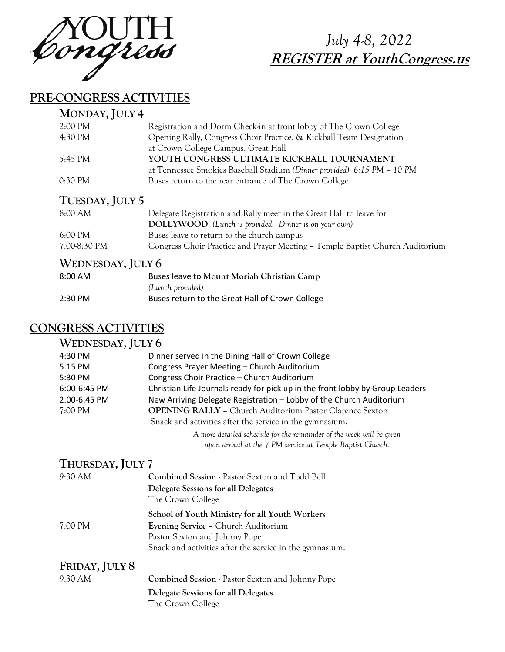

# *July 4-8, 2022*  **REGISTER at YouthCongress.us**

### **PRE-CONGRESS ACTIVITIES**

| MONDAY, JULY 4     |                                                                          |
|--------------------|--------------------------------------------------------------------------|
| $2:00 \text{ PM}$  | Registration and Dorm Check-in at front lobby of The Crown College       |
| 4:30 PM            | Opening Rally, Congress Choir Practice, & Kickball Team Designation      |
|                    | at Crown College Campus, Great Hall                                      |
| 5:45 PM            | YOUTH CONGRESS ULTIMATE KICKBALL TOURNAMENT                              |
|                    | at Tennessee Smokies Baseball Stadium (Dinner provided). 6:15 PM - 10 PM |
| $10:30 \text{ PM}$ | Buses return to the rear entrance of The Crown College                   |
|                    |                                                                          |

### **TUESDAY, JULY 5**

| 8:00 AM           | Delegate Registration and Rally meet in the Great Hall to leave for           |
|-------------------|-------------------------------------------------------------------------------|
|                   | DOLLYWOOD (Lunch is provided. Dinner is on your own)                          |
| $6:00 \text{ PM}$ | Buses leave to return to the church campus                                    |
| 7:00-8:30 PM      | Congress Choir Practice and Prayer Meeting – Temple Baptist Church Auditorium |

### **WEDNESDAY, JULY 6**

| $8:00$ AM | Buses leave to Mount Moriah Christian Camp      |
|-----------|-------------------------------------------------|
|           | (Lunch provided)                                |
| $2:30$ PM | Buses return to the Great Hall of Crown College |

## **CONGRESS ACTIVITIES**

#### **WEDNESDAY, JULY 6** 4:30 PM Dinner served in the Dining Hall of Crown College 5:15 PM Congress Prayer Meeting – Church Auditorium 5:30 PM Congress Choir Practice – Church Auditorium 6:00-6:45 PM Christian Life Journals ready for pick up in the front lobby by Group Leaders 2:00-6:45 PM New Arriving Delegate Registration – Lobby of the Church Auditorium 7:00 PM **OPENING RALLY** – Church Auditorium Pastor Clarence Sexton Snack and activities after the service in the gymnasium. *A more detailed schedule for the remainder of the week will be given*

*upon arrival at the 7 PM service at Temple Baptist Church.*

#### **THURSDAY, JULY 7**

| 9:30 AM        | Combined Session - Pastor Sexton and Todd Bell                              |
|----------------|-----------------------------------------------------------------------------|
|                | Delegate Sessions for all Delegates<br>The Crown College                    |
|                | School of Youth Ministry for all Youth Workers                              |
| 7:00 PM        | <b>Evening Service - Church Auditorium</b><br>Pastor Sexton and Johnny Pope |
|                | Snack and activities after the service in the gymnasium.                    |
| FRIDAY, JULY 8 |                                                                             |

9:30 AM **Combined Session -** Pastor Sexton and Johnny Pope **Delegate Sessions for all Delegates** The Crown College